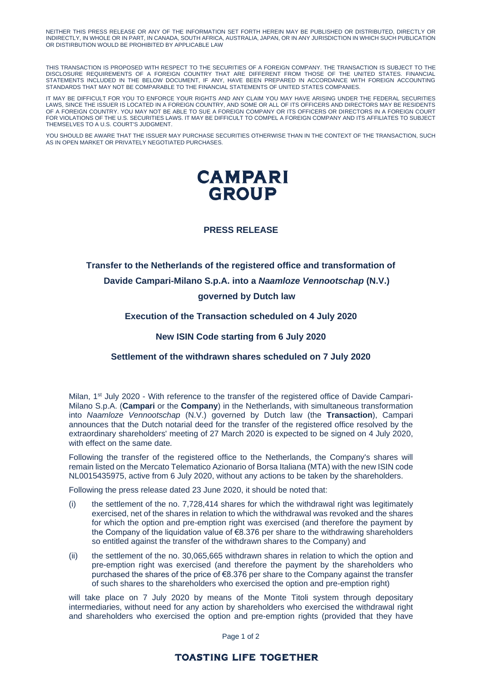NEITHER THIS PRESS RELEASE OR ANY OF THE INFORMATION SET FORTH HEREIN MAY BE PUBLISHED OR DISTRIBUTED, DIRECTLY OR INDIRECTLY, IN WHOLE OR IN PART, IN CANADA, SOUTH AFRICA, AUSTRALIA, JAPAN, OR IN ANY JURISDICTION IN WHICH SUCH PUBLICATION OR DISTIRBUTION WOULD BE PROHIBITED BY APPLICABLE LAW

THIS TRANSACTION IS PROPOSED WITH RESPECT TO THE SECURITIES OF A FOREIGN COMPANY. THE TRANSACTION IS SUBJECT TO THE DISCLOSURE REQUIREMENTS OF A FOREIGN COUNTRY THAT ARE DIFFERENT FROM THOSE OF THE UNITED STATES. FINANCIAL STATEMENTS INCLUDED IN THE BELOW DOCUMENT, IF ANY, HAVE BEEN PREPARED IN ACCORDANCE WITH FOREIGN ACCOUNTING STANDARDS THAT MAY NOT BE COMPARABLE TO THE FINANCIAL STATEMENTS OF UNITED STATES COMPANIES.

IT MAY BE DIFFICULT FOR YOU TO ENFORCE YOUR RIGHTS AND ANY CLAIM YOU MAY HAVE ARISING UNDER THE FEDERAL SECURITIES LAWS, SINCE THE ISSUER IS LOCATED IN A FOREIGN COUNTRY, AND SOME OR ALL OF ITS OFFICERS AND DIRECTORS MAY BE RESIDENTS OF A FOREIGN COUNTRY. YOU MAY NOT BE ABLE TO SUE A FOREIGN COMPANY OR ITS OFFICERS OR DIRECTORS IN A FOREIGN COURT FOR VIOLATIONS OF THE U.S. SECURITIES LAWS. IT MAY BE DIFFICULT TO COMPEL A FOREIGN COMPANY AND ITS AFFILIATES TO SUBJECT THEMSELVES TO A U.S. COURT'S JUDGMENT.

YOU SHOULD BE AWARE THAT THE ISSUER MAY PURCHASE SECURITIES OTHERWISE THAN IN THE CONTEXT OF THE TRANSACTION, SUCH AS IN OPEN MARKET OR PRIVATELY NEGOTIATED PURCHASES.



## **PRESS RELEASE**

# **Transfer to the Netherlands of the registered office and transformation of Davide Campari-Milano S.p.A. into a** *Naamloze Vennootschap* **(N.V.) governed by Dutch law**

#### **Execution of the Transaction scheduled on 4 July 2020**

### **New ISIN Code starting from 6 July 2020**

## **Settlement of the withdrawn shares scheduled on 7 July 2020**

Milan, 1<sup>st</sup> July 2020 - With reference to the transfer of the registered office of Davide Campari-Milano S.p.A. (**Campari** or the **Company**) in the Netherlands, with simultaneous transformation into *Naamloze Vennootschap* (N.V.) governed by Dutch law (the **Transaction**), Campari announces that the Dutch notarial deed for the transfer of the registered office resolved by the extraordinary shareholders' meeting of 27 March 2020 is expected to be signed on 4 July 2020, with effect on the same date*.* 

Following the transfer of the registered office to the Netherlands, the Company's shares will remain listed on the Mercato Telematico Azionario of Borsa Italiana (MTA) with the new ISIN code NL0015435975, active from 6 July 2020, without any actions to be taken by the shareholders.

Following the press release dated 23 June 2020, it should be noted that:

- (i) the settlement of the no. 7,728,414 shares for which the withdrawal right was legitimately exercised, net of the shares in relation to which the withdrawal was revoked and the shares for which the option and pre-emption right was exercised (and therefore the payment by the Company of the liquidation value of €8.376 per share to the withdrawing shareholders so entitled against the transfer of the withdrawn shares to the Company) and
- (ii) the settlement of the no. 30,065,665 withdrawn shares in relation to which the option and pre-emption right was exercised (and therefore the payment by the shareholders who purchased the shares of the price of  $\epsilon$ 8.376 per share to the Company against the transfer of such shares to the shareholders who exercised the option and pre-emption right)

will take place on 7 July 2020 by means of the Monte Titoli system through depositary intermediaries, without need for any action by shareholders who exercised the withdrawal right and shareholders who exercised the option and pre-emption rights (provided that they have

Page 1 of 2

## **TOASTING LIFE TOGETHER**